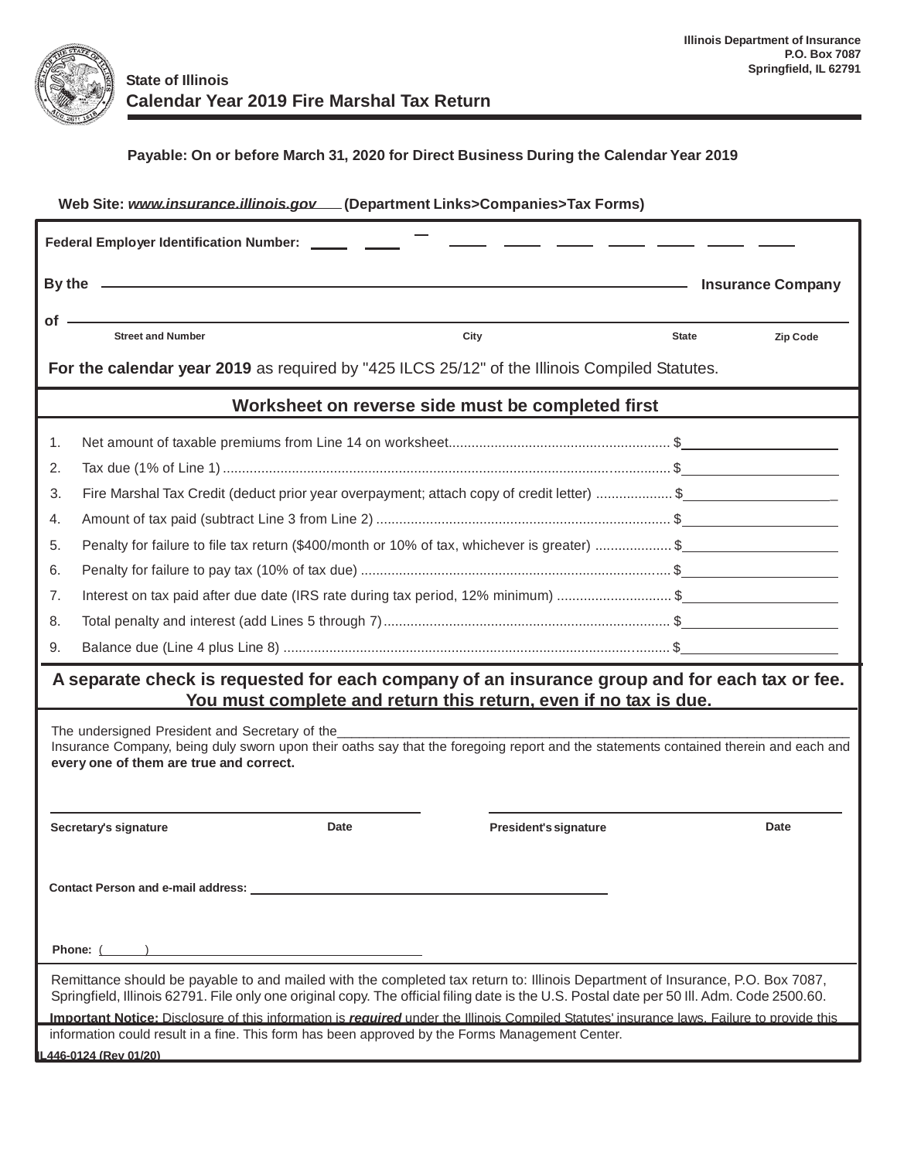

| (Department Links>Companies>Tax Forms)<br>Web Site: www.insurance.illinois.gov                                                                                                                                                                                             |                                                                                                                                                                                                                                |                              |                          |          |  |  |  |  |  |
|----------------------------------------------------------------------------------------------------------------------------------------------------------------------------------------------------------------------------------------------------------------------------|--------------------------------------------------------------------------------------------------------------------------------------------------------------------------------------------------------------------------------|------------------------------|--------------------------|----------|--|--|--|--|--|
| Federal Employer Identification Number: ______ ____                                                                                                                                                                                                                        |                                                                                                                                                                                                                                |                              |                          |          |  |  |  |  |  |
|                                                                                                                                                                                                                                                                            | By the summarized and the state of the state of the state of the state of the state of the state of the state of the state of the state of the state of the state of the state of the state of the state of the state of the s |                              | <b>Insurance Company</b> |          |  |  |  |  |  |
| of                                                                                                                                                                                                                                                                         |                                                                                                                                                                                                                                |                              |                          |          |  |  |  |  |  |
|                                                                                                                                                                                                                                                                            | <b>Street and Number</b>                                                                                                                                                                                                       | City                         | <b>State</b>             | Zip Code |  |  |  |  |  |
| For the calendar year 2019 as required by "425 ILCS 25/12" of the Illinois Compiled Statutes.                                                                                                                                                                              |                                                                                                                                                                                                                                |                              |                          |          |  |  |  |  |  |
| Worksheet on reverse side must be completed first                                                                                                                                                                                                                          |                                                                                                                                                                                                                                |                              |                          |          |  |  |  |  |  |
| 1.                                                                                                                                                                                                                                                                         |                                                                                                                                                                                                                                |                              |                          |          |  |  |  |  |  |
| 2.                                                                                                                                                                                                                                                                         |                                                                                                                                                                                                                                |                              |                          |          |  |  |  |  |  |
| 3.                                                                                                                                                                                                                                                                         | Fire Marshal Tax Credit (deduct prior year overpayment; attach copy of credit letter) \$                                                                                                                                       |                              |                          |          |  |  |  |  |  |
| 4.                                                                                                                                                                                                                                                                         |                                                                                                                                                                                                                                |                              |                          |          |  |  |  |  |  |
| 5.                                                                                                                                                                                                                                                                         | Penalty for failure to file tax return (\$400/month or 10% of tax, whichever is greater) \$                                                                                                                                    |                              |                          |          |  |  |  |  |  |
| 6.                                                                                                                                                                                                                                                                         |                                                                                                                                                                                                                                |                              |                          |          |  |  |  |  |  |
| 7.                                                                                                                                                                                                                                                                         | Interest on tax paid after due date (IRS rate during tax period, 12% minimum) \$                                                                                                                                               |                              |                          |          |  |  |  |  |  |
| 8.                                                                                                                                                                                                                                                                         |                                                                                                                                                                                                                                |                              |                          |          |  |  |  |  |  |
| 9.                                                                                                                                                                                                                                                                         |                                                                                                                                                                                                                                |                              |                          |          |  |  |  |  |  |
| A separate check is requested for each company of an insurance group and for each tax or fee.<br>You must complete and return this return, even if no tax is due.                                                                                                          |                                                                                                                                                                                                                                |                              |                          |          |  |  |  |  |  |
| The undersigned President and Secretary of the<br>Insurance Company, being duly sworn upon their oaths say that the foregoing report and the statements contained therein and each and<br>every one of them are true and correct.                                          |                                                                                                                                                                                                                                |                              |                          |          |  |  |  |  |  |
|                                                                                                                                                                                                                                                                            | <b>Date</b><br>Secretary's signature                                                                                                                                                                                           | <b>President's signature</b> |                          | Date     |  |  |  |  |  |
| <b>Contact Person and e-mail address:</b>                                                                                                                                                                                                                                  |                                                                                                                                                                                                                                |                              |                          |          |  |  |  |  |  |
| Phone: (                                                                                                                                                                                                                                                                   |                                                                                                                                                                                                                                |                              |                          |          |  |  |  |  |  |
| Remittance should be payable to and mailed with the completed tax return to: Illinois Department of Insurance, P.O. Box 7087,<br>Springfield, Illinois 62791. File only one original copy. The official filing date is the U.S. Postal date per 50 III. Adm. Code 2500.60. |                                                                                                                                                                                                                                |                              |                          |          |  |  |  |  |  |
| Important Notice: Disclosure of this information is required under the Illinois Compiled Statutes' insurance laws. Failure to provide this<br>information could result in a fine. This form has been approved by the Forms Management Center.                              |                                                                                                                                                                                                                                |                              |                          |          |  |  |  |  |  |
| L446-0124 (Rev 01/20)                                                                                                                                                                                                                                                      |                                                                                                                                                                                                                                |                              |                          |          |  |  |  |  |  |
|                                                                                                                                                                                                                                                                            |                                                                                                                                                                                                                                |                              |                          |          |  |  |  |  |  |